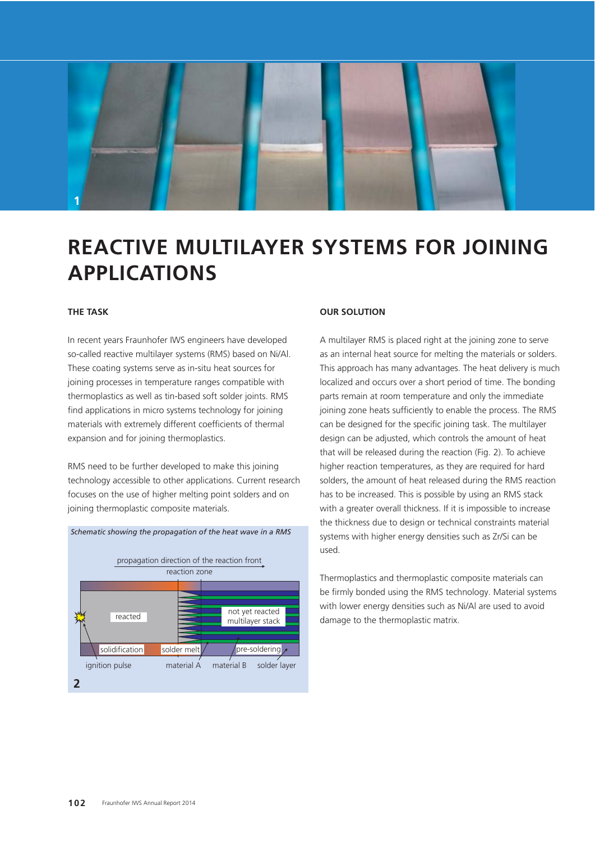

# **REACTIVE MULTILAYER SYSTEMS FOR JOINING APPLICATIONS**

## **THE TASK**

In recent years Fraunhofer IWS engineers have developed so-called reactive multilayer systems (RMS) based on Ni/Al. These coating systems serve as in-situ heat sources for joining processes in temperature ranges compatible with thermoplastics as well as tin-based soft solder joints. RMS find applications in micro systems technology for joining materials with extremely different coefficients of thermal expansion and for joining thermoplastics.

RMS need to be further developed to make this joining technology accessible to other applications. Current research focuses on the use of higher melting point solders and on joining thermoplastic composite materials.



#### **OUR SOLUTION**

A multilayer RMS is placed right at the joining zone to serve as an internal heat source for melting the materials or solders. This approach has many advantages. The heat delivery is much localized and occurs over a short period of time. The bonding parts remain at room temperature and only the immediate joining zone heats sufficiently to enable the process. The RMS can be designed for the specific joining task. The multilayer design can be adjusted, which controls the amount of heat that will be released during the reaction (Fig. 2). To achieve higher reaction temperatures, as they are required for hard solders, the amount of heat released during the RMS reaction has to be increased. This is possible by using an RMS stack with a greater overall thickness. If it is impossible to increase the thickness due to design or technical constraints material systems with higher energy densities such as Zr/Si can be used.

Thermoplastics and thermoplastic composite materials can be firmly bonded using the RMS technology. Material systems with lower energy densities such as Ni/Al are used to avoid damage to the thermoplastic matrix.